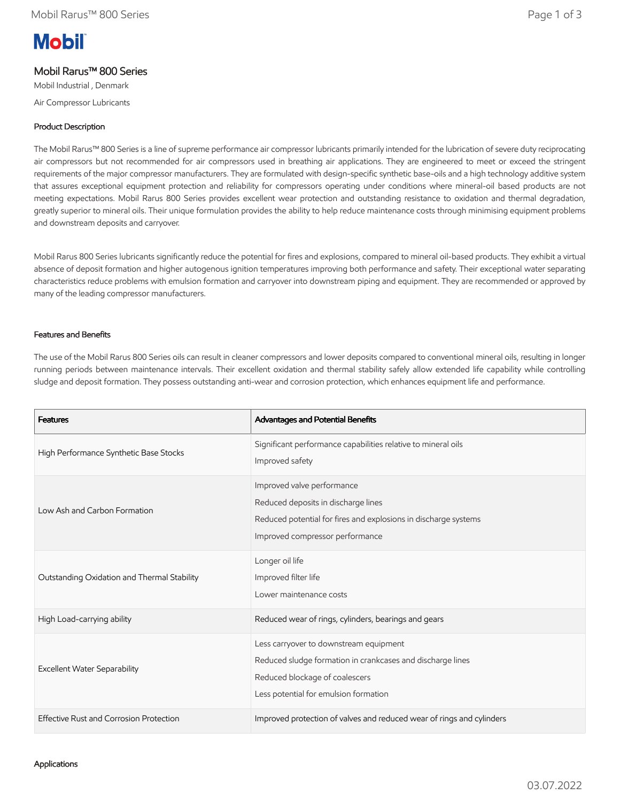# **Mobil**

# Mobil Rarus™ 800 Series

Mobil Industrial , Denmark

Air Compressor Lubricants

## Product Description

The Mobil Rarus™ 800 Series is a line of supreme performance air compressor lubricants primarily intended for the lubrication of severe duty reciprocating air compressors but not recommended for air compressors used in breathing air applications. They are engineered to meet or exceed the stringent requirements of the major compressor manufacturers. They are formulated with design-specific synthetic base-oils and a high technology additive system that assures exceptional equipment protection and reliability for compressors operating under conditions where mineral-oil based products are not meeting expectations. Mobil Rarus 800 Series provides excellent wear protection and outstanding resistance to oxidation and thermal degradation, greatly superior to mineral oils. Their unique formulation provides the ability to help reduce maintenance costs through minimising equipment problems and downstream deposits and carryover.

Mobil Rarus 800 Series lubricants significantly reduce the potential for fires and explosions, compared to mineral oil-based products. They exhibit a virtual absence of deposit formation and higher autogenous ignition temperatures improving both performance and safety. Their exceptional water separating characteristics reduce problems with emulsion formation and carryover into downstream piping and equipment. They are recommended or approved by many of the leading compressor manufacturers.

### Features and Benefits

The use of the Mobil Rarus 800 Series oils can result in cleaner compressors and lower deposits compared to conventional mineral oils, resulting in longer running periods between maintenance intervals. Their excellent oxidation and thermal stability safely allow extended life capability while controlling sludge and deposit formation. They possess outstanding anti-wear and corrosion protection, which enhances equipment life and performance.

| <b>Features</b>                             | Advantages and Potential Benefits                                                                                                                                               |
|---------------------------------------------|---------------------------------------------------------------------------------------------------------------------------------------------------------------------------------|
| High Performance Synthetic Base Stocks      | Significant performance capabilities relative to mineral oils<br>Improved safety                                                                                                |
| Low Ash and Carbon Formation                | Improved valve performance<br>Reduced deposits in discharge lines<br>Reduced potential for fires and explosions in discharge systems<br>Improved compressor performance         |
| Outstanding Oxidation and Thermal Stability | Longer oil life<br>Improved filter life<br>Lower maintenance costs                                                                                                              |
| High Load-carrying ability                  | Reduced wear of rings, cylinders, bearings and gears                                                                                                                            |
| <b>Excellent Water Separability</b>         | Less carryover to downstream equipment<br>Reduced sludge formation in crankcases and discharge lines<br>Reduced blockage of coalescers<br>Less potential for emulsion formation |
| Effective Rust and Corrosion Protection     | Improved protection of valves and reduced wear of rings and cylinders                                                                                                           |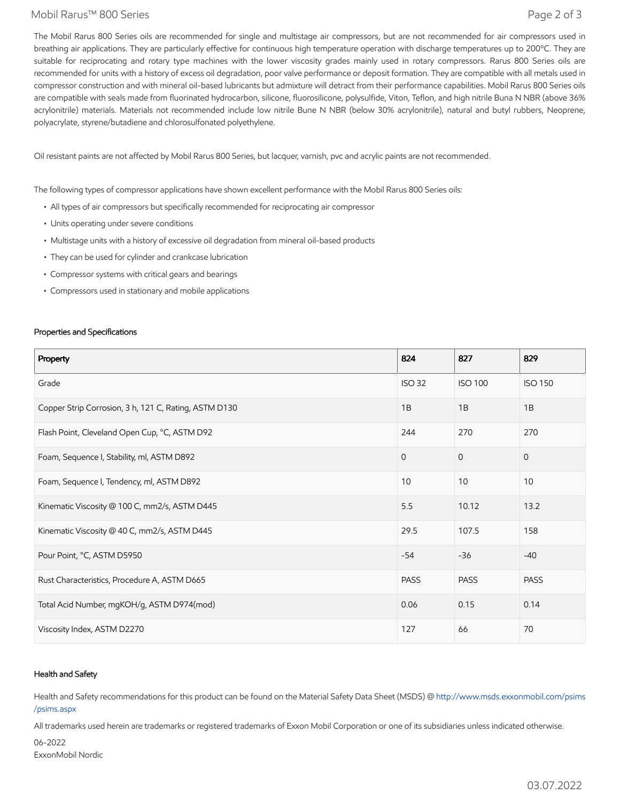#### Mobil Rarus™ 800 Series Page 2 of 3

The Mobil Rarus 800 Series oils are recommended for single and multistage air compressors, but are not recommended for air compressors used in breathing air applications. They are particularly effective for continuous high temperature operation with discharge temperatures up to 200°C. They are suitable for reciprocating and rotary type machines with the lower viscosity grades mainly used in rotary compressors. Rarus 800 Series oils are recommended for units with a history of excess oil degradation, poor valve performance or deposit formation. They are compatible with all metals used in compressor construction and with mineral oil-based lubricants but admixture will detract from their performance capabilities. Mobil Rarus 800 Series oils are compatible with seals made from fluorinated hydrocarbon, silicone, fluorosilicone, polysulfide, Viton, Teflon, and high nitrile Buna N NBR (above 36% acrylonitrile) materials. Materials not recommended include low nitrile Bune N NBR (below 30% acrylonitrile), natural and butyl rubbers, Neoprene, polyacrylate, styrene/butadiene and chlorosulfonated polyethylene.

Oil resistant paints are not affected by Mobil Rarus 800 Series, but lacquer, varnish, pvc and acrylic paints are not recommended.

The following types of compressor applications have shown excellent performance with the Mobil Rarus 800 Series oils:

- All types of air compressors but specifically recommended for reciprocating air compressor
- Units operating under severe conditions
- Multistage units with a history of excessive oil degradation from mineral oil-based products
- They can be used for cylinder and crankcase lubrication
- Compressor systems with critical gears and bearings
- Compressors used in stationary and mobile applications

#### Properties and Specifications

| Property                                              | 824           | 827            | 829            |
|-------------------------------------------------------|---------------|----------------|----------------|
| Grade                                                 | <b>ISO 32</b> | <b>ISO 100</b> | <b>ISO 150</b> |
| Copper Strip Corrosion, 3 h, 121 C, Rating, ASTM D130 | 1B            | 1B             | 1B             |
| Flash Point, Cleveland Open Cup, °C, ASTM D92         | 244           | 270            | 270            |
| Foam, Sequence I, Stability, ml, ASTM D892            | $\Omega$      | $\Omega$       | $\mathbf{0}$   |
| Foam, Sequence I, Tendency, ml, ASTM D892             | 10            | 10             | 10             |
| Kinematic Viscosity @ 100 C, mm2/s, ASTM D445         | 5.5           | 10.12          | 13.2           |
| Kinematic Viscosity @ 40 C, mm2/s, ASTM D445          | 29.5          | 107.5          | 158            |
| Pour Point, °C, ASTM D5950                            | $-54$         | $-36$          | $-40$          |
| Rust Characteristics, Procedure A, ASTM D665          | <b>PASS</b>   | <b>PASS</b>    | <b>PASS</b>    |
| Total Acid Number, mgKOH/g, ASTM D974(mod)            | 0.06          | 0.15           | 0.14           |
| Viscosity Index, ASTM D2270                           | 127           | 66             | 70             |

#### Health and Safety

Health and Safety recommendations for this product can be found on the Material Safety Data Sheet (MSDS) @ [http://www.msds.exxonmobil.com/psims](http://www.msds.exxonmobil.com/psims/psims.aspx) /psims.aspx

All trademarks used herein are trademarks or registered trademarks of Exxon Mobil Corporation or one of its subsidiaries unless indicated otherwise.

06-2022 ExxonMobil Nordic